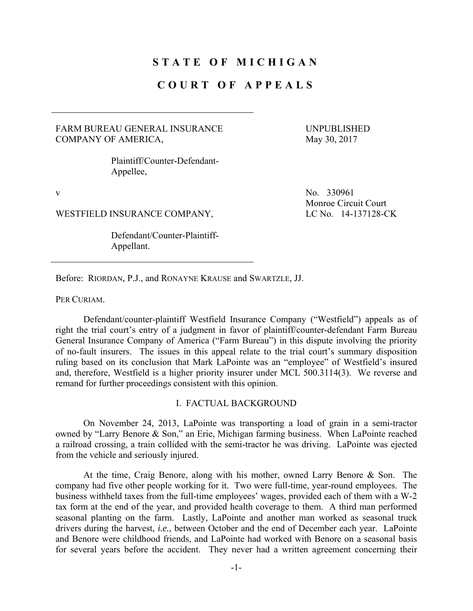# **STATE OF MICHIGAN**

## **COURT OF APPEALS**

### FARM BUREAU GENERAL INSURANCE COMPANY OF AMERICA,

UNPUBLISHED May 30, 2017

 Plaintiff/Counter-Defendant-Appellee,

WESTFIELD INSURANCE COMPANY, LC No. 14-137128-CK

 Defendant/Counter-Plaintiff-Appellant.

v No. 330961 Monroe Circuit Court

Before: RIORDAN, P.J., and RONAYNE KRAUSE and SWARTZLE, JJ.

PER CURIAM.

 Defendant/counter-plaintiff Westfield Insurance Company ("Westfield") appeals as of right the trial court's entry of a judgment in favor of plaintiff/counter-defendant Farm Bureau General Insurance Company of America ("Farm Bureau") in this dispute involving the priority of no-fault insurers. The issues in this appeal relate to the trial court's summary disposition ruling based on its conclusion that Mark LaPointe was an "employee" of Westfield's insured and, therefore, Westfield is a higher priority insurer under MCL 500.3114(3). We reverse and remand for further proceedings consistent with this opinion.

### I. FACTUAL BACKGROUND

On November 24, 2013, LaPointe was transporting a load of grain in a semi-tractor owned by "Larry Benore & Son," an Erie, Michigan farming business. When LaPointe reached a railroad crossing, a train collided with the semi-tractor he was driving. LaPointe was ejected from the vehicle and seriously injured.

At the time, Craig Benore, along with his mother, owned Larry Benore & Son. The company had five other people working for it. Two were full-time, year-round employees. The business withheld taxes from the full-time employees' wages, provided each of them with a W-2 tax form at the end of the year, and provided health coverage to them. A third man performed seasonal planting on the farm. Lastly, LaPointe and another man worked as seasonal truck drivers during the harvest, *i.e.*, between October and the end of December each year. LaPointe and Benore were childhood friends, and LaPointe had worked with Benore on a seasonal basis for several years before the accident. They never had a written agreement concerning their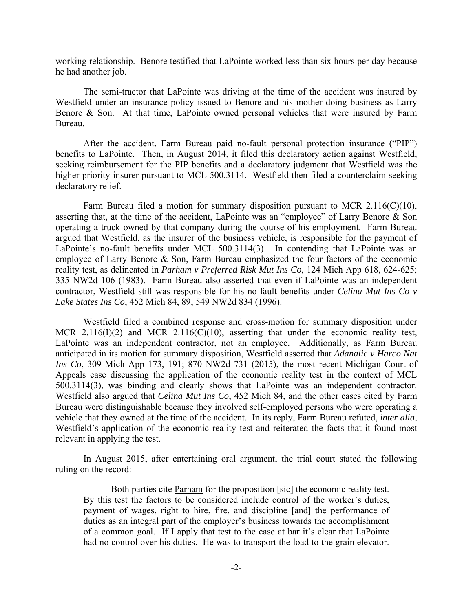working relationship. Benore testified that LaPointe worked less than six hours per day because he had another job.

The semi-tractor that LaPointe was driving at the time of the accident was insured by Westfield under an insurance policy issued to Benore and his mother doing business as Larry Benore & Son. At that time, LaPointe owned personal vehicles that were insured by Farm Bureau.

 After the accident, Farm Bureau paid no-fault personal protection insurance ("PIP") benefits to LaPointe. Then, in August 2014, it filed this declaratory action against Westfield, seeking reimbursement for the PIP benefits and a declaratory judgment that Westfield was the higher priority insurer pursuant to MCL 500.3114. Westfield then filed a counterclaim seeking declaratory relief.

 Farm Bureau filed a motion for summary disposition pursuant to MCR 2.116(C)(10), asserting that, at the time of the accident, LaPointe was an "employee" of Larry Benore & Son operating a truck owned by that company during the course of his employment. Farm Bureau argued that Westfield, as the insurer of the business vehicle, is responsible for the payment of LaPointe's no-fault benefits under MCL 500.3114(3). In contending that LaPointe was an employee of Larry Benore & Son, Farm Bureau emphasized the four factors of the economic reality test, as delineated in *Parham v Preferred Risk Mut Ins Co*, 124 Mich App 618, 624-625; 335 NW2d 106 (1983). Farm Bureau also asserted that even if LaPointe was an independent contractor, Westfield still was responsible for his no-fault benefits under *Celina Mut Ins Co v Lake States Ins Co*, 452 Mich 84, 89; 549 NW2d 834 (1996).

 Westfield filed a combined response and cross-motion for summary disposition under MCR 2.116(I)(2) and MCR 2.116(C)(10), asserting that under the economic reality test, LaPointe was an independent contractor, not an employee. Additionally, as Farm Bureau anticipated in its motion for summary disposition, Westfield asserted that *Adanalic v Harco Nat Ins Co*, 309 Mich App 173, 191; 870 NW2d 731 (2015), the most recent Michigan Court of Appeals case discussing the application of the economic reality test in the context of MCL 500.3114(3), was binding and clearly shows that LaPointe was an independent contractor. Westfield also argued that *Celina Mut Ins Co*, 452 Mich 84, and the other cases cited by Farm Bureau were distinguishable because they involved self-employed persons who were operating a vehicle that they owned at the time of the accident. In its reply, Farm Bureau refuted, *inter alia*, Westfield's application of the economic reality test and reiterated the facts that it found most relevant in applying the test.

 In August 2015, after entertaining oral argument, the trial court stated the following ruling on the record:

 Both parties cite Parham for the proposition [sic] the economic reality test. By this test the factors to be considered include control of the worker's duties, payment of wages, right to hire, fire, and discipline [and] the performance of duties as an integral part of the employer's business towards the accomplishment of a common goal. If I apply that test to the case at bar it's clear that LaPointe had no control over his duties. He was to transport the load to the grain elevator.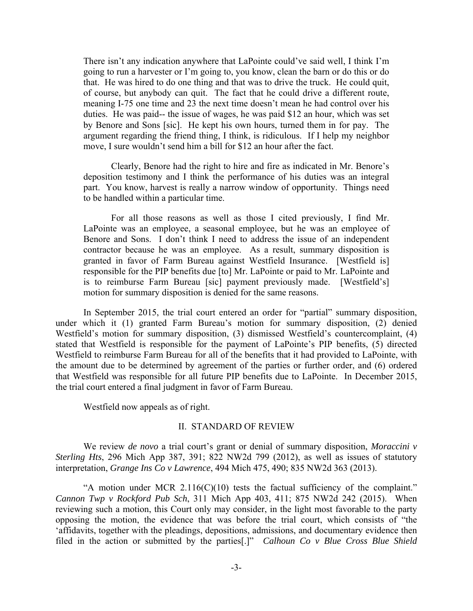There isn't any indication anywhere that LaPointe could've said well, I think I'm going to run a harvester or I'm going to, you know, clean the barn or do this or do that. He was hired to do one thing and that was to drive the truck. He could quit, of course, but anybody can quit. The fact that he could drive a different route, meaning I-75 one time and 23 the next time doesn't mean he had control over his duties. He was paid-- the issue of wages, he was paid \$12 an hour, which was set by Benore and Sons [sic]. He kept his own hours, turned them in for pay. The argument regarding the friend thing, I think, is ridiculous. If I help my neighbor move, I sure wouldn't send him a bill for \$12 an hour after the fact.

 Clearly, Benore had the right to hire and fire as indicated in Mr. Benore's deposition testimony and I think the performance of his duties was an integral part. You know, harvest is really a narrow window of opportunity. Things need to be handled within a particular time.

 For all those reasons as well as those I cited previously, I find Mr. LaPointe was an employee, a seasonal employee, but he was an employee of Benore and Sons. I don't think I need to address the issue of an independent contractor because he was an employee. As a result, summary disposition is granted in favor of Farm Bureau against Westfield Insurance. [Westfield is] responsible for the PIP benefits due [to] Mr. LaPointe or paid to Mr. LaPointe and is to reimburse Farm Bureau [sic] payment previously made. [Westfield's] motion for summary disposition is denied for the same reasons.

 In September 2015, the trial court entered an order for "partial" summary disposition, under which it (1) granted Farm Bureau's motion for summary disposition, (2) denied Westfield's motion for summary disposition, (3) dismissed Westfield's countercomplaint, (4) stated that Westfield is responsible for the payment of LaPointe's PIP benefits, (5) directed Westfield to reimburse Farm Bureau for all of the benefits that it had provided to LaPointe, with the amount due to be determined by agreement of the parties or further order, and (6) ordered that Westfield was responsible for all future PIP benefits due to LaPointe. In December 2015, the trial court entered a final judgment in favor of Farm Bureau.

Westfield now appeals as of right.

#### II. STANDARD OF REVIEW

We review *de novo* a trial court's grant or denial of summary disposition, *Moraccini v Sterling Hts*, 296 Mich App 387, 391; 822 NW2d 799 (2012), as well as issues of statutory interpretation, *Grange Ins Co v Lawrence*, 494 Mich 475, 490; 835 NW2d 363 (2013).

"A motion under MCR  $2.116(C)(10)$  tests the factual sufficiency of the complaint." *Cannon Twp v Rockford Pub Sch*, 311 Mich App 403, 411; 875 NW2d 242 (2015). When reviewing such a motion, this Court only may consider, in the light most favorable to the party opposing the motion, the evidence that was before the trial court, which consists of "the 'affidavits, together with the pleadings, depositions, admissions, and documentary evidence then filed in the action or submitted by the parties[.]" *Calhoun Co v Blue Cross Blue Shield*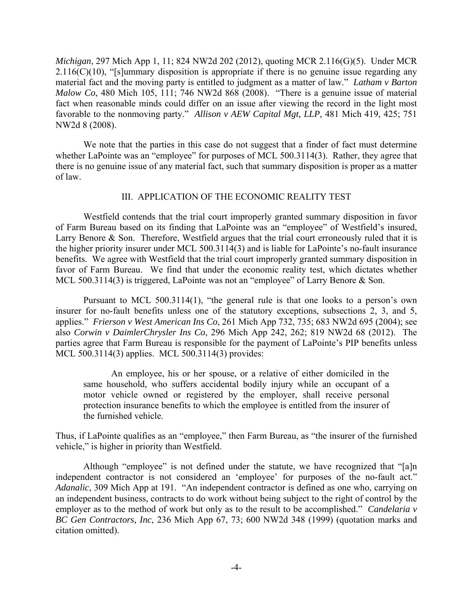*Michigan*, 297 Mich App 1, 11; 824 NW2d 202 (2012), quoting MCR 2.116(G)(5). Under MCR  $2.116(C)(10)$ , "[s]ummary disposition is appropriate if there is no genuine issue regarding any material fact and the moving party is entitled to judgment as a matter of law." *Latham v Barton Malow Co*, 480 Mich 105, 111; 746 NW2d 868 (2008). "There is a genuine issue of material fact when reasonable minds could differ on an issue after viewing the record in the light most favorable to the nonmoving party." *Allison v AEW Capital Mgt, LLP*, 481 Mich 419, 425; 751 NW2d 8 (2008).

We note that the parties in this case do not suggest that a finder of fact must determine whether LaPointe was an "employee" for purposes of MCL 500.3114(3). Rather, they agree that there is no genuine issue of any material fact, such that summary disposition is proper as a matter of law.

### III. APPLICATION OF THE ECONOMIC REALITY TEST

 Westfield contends that the trial court improperly granted summary disposition in favor of Farm Bureau based on its finding that LaPointe was an "employee" of Westfield's insured, Larry Benore & Son. Therefore, Westfield argues that the trial court erroneously ruled that it is the higher priority insurer under MCL 500.3114(3) and is liable for LaPointe's no-fault insurance benefits. We agree with Westfield that the trial court improperly granted summary disposition in favor of Farm Bureau. We find that under the economic reality test, which dictates whether MCL 500.3114(3) is triggered, LaPointe was not an "employee" of Larry Benore & Son.

Pursuant to MCL 500.3114(1), "the general rule is that one looks to a person's own insurer for no-fault benefits unless one of the statutory exceptions, subsections 2, 3, and 5, applies." *Frierson v West American Ins Co*, 261 Mich App 732, 735; 683 NW2d 695 (2004); see also *Corwin v DaimlerChrysler Ins Co*, 296 Mich App 242, 262; 819 NW2d 68 (2012). The parties agree that Farm Bureau is responsible for the payment of LaPointe's PIP benefits unless MCL 500.3114(3) applies. MCL 500.3114(3) provides:

 An employee, his or her spouse, or a relative of either domiciled in the same household, who suffers accidental bodily injury while an occupant of a motor vehicle owned or registered by the employer, shall receive personal protection insurance benefits to which the employee is entitled from the insurer of the furnished vehicle.

Thus, if LaPointe qualifies as an "employee," then Farm Bureau, as "the insurer of the furnished vehicle," is higher in priority than Westfield.

Although "employee" is not defined under the statute, we have recognized that "[a]n independent contractor is not considered an 'employee' for purposes of the no-fault act." *Adanalic*, 309 Mich App at 191. "An independent contractor is defined as one who, carrying on an independent business, contracts to do work without being subject to the right of control by the employer as to the method of work but only as to the result to be accomplished." *Candelaria v BC Gen Contractors, Inc*, 236 Mich App 67, 73; 600 NW2d 348 (1999) (quotation marks and citation omitted).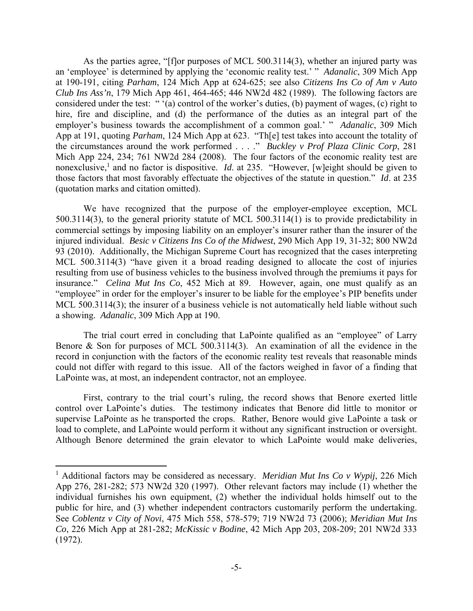As the parties agree, "[f]or purposes of MCL 500.3114(3), whether an injured party was an 'employee' is determined by applying the 'economic reality test.' " *Adanalic*, 309 Mich App at 190-191, citing *Parham*, 124 Mich App at 624-625; see also *Citizens Ins Co of Am v Auto Club Ins Ass'n*, 179 Mich App 461, 464-465; 446 NW2d 482 (1989). The following factors are considered under the test: " '(a) control of the worker's duties, (b) payment of wages, (c) right to hire, fire and discipline, and (d) the performance of the duties as an integral part of the employer's business towards the accomplishment of a common goal.' " *Adanalic*, 309 Mich App at 191, quoting *Parham*, 124 Mich App at 623. "Th[e] test takes into account the totality of the circumstances around the work performed . . . ." *Buckley v Prof Plaza Clinic Corp*, 281 Mich App 224, 234; 761 NW2d 284 (2008). The four factors of the economic reality test are nonexclusive,<sup>1</sup> and no factor is dispositive. *Id.* at 235. "However, [w]eight should be given to those factors that most favorably effectuate the objectives of the statute in question." *Id*. at 235 (quotation marks and citation omitted).

We have recognized that the purpose of the employer-employee exception, MCL 500.3114(3), to the general priority statute of MCL 500.3114(1) is to provide predictability in commercial settings by imposing liability on an employer's insurer rather than the insurer of the injured individual. *Besic v Citizens Ins Co of the Midwest*, 290 Mich App 19, 31-32; 800 NW2d 93 (2010). Additionally, the Michigan Supreme Court has recognized that the cases interpreting MCL 500.3114(3) "have given it a broad reading designed to allocate the cost of injuries resulting from use of business vehicles to the business involved through the premiums it pays for insurance." *Celina Mut Ins Co*, 452 Mich at 89. However, again, one must qualify as an "employee" in order for the employer's insurer to be liable for the employee's PIP benefits under MCL 500.3114(3); the insurer of a business vehicle is not automatically held liable without such a showing. *Adanalic*, 309 Mich App at 190.

The trial court erred in concluding that LaPointe qualified as an "employee" of Larry Benore & Son for purposes of MCL 500.3114(3). An examination of all the evidence in the record in conjunction with the factors of the economic reality test reveals that reasonable minds could not differ with regard to this issue. All of the factors weighed in favor of a finding that LaPointe was, at most, an independent contractor, not an employee.

First, contrary to the trial court's ruling, the record shows that Benore exerted little control over LaPointe's duties. The testimony indicates that Benore did little to monitor or supervise LaPointe as he transported the crops. Rather, Benore would give LaPointe a task or load to complete, and LaPointe would perform it without any significant instruction or oversight. Although Benore determined the grain elevator to which LaPointe would make deliveries,

<sup>&</sup>lt;sup>1</sup> Additional factors may be considered as necessary. *Meridian Mut Ins Co v Wypij*, 226 Mich App 276, 281-282; 573 NW2d 320 (1997). Other relevant factors may include (1) whether the individual furnishes his own equipment, (2) whether the individual holds himself out to the public for hire, and (3) whether independent contractors customarily perform the undertaking. See *Coblentz v City of Novi*, 475 Mich 558, 578-579; 719 NW2d 73 (2006); *Meridian Mut Ins Co*, 226 Mich App at 281-282; *McKissic v Bodine*, 42 Mich App 203, 208-209; 201 NW2d 333 (1972).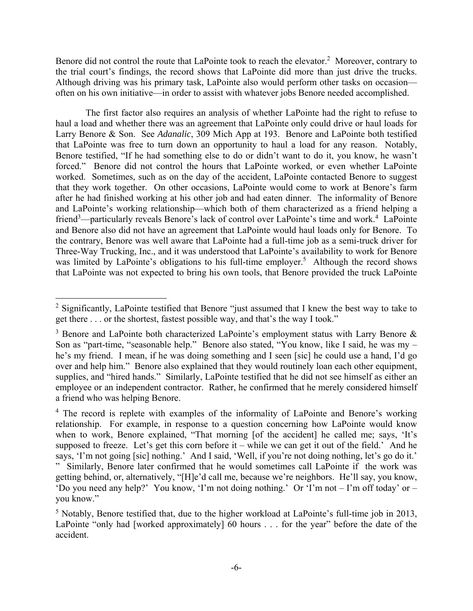Benore did not control the route that LaPointe took to reach the elevator.<sup>2</sup> Moreover, contrary to the trial court's findings, the record shows that LaPointe did more than just drive the trucks. Although driving was his primary task, LaPointe also would perform other tasks on occasion often on his own initiative—in order to assist with whatever jobs Benore needed accomplished.

 The first factor also requires an analysis of whether LaPointe had the right to refuse to haul a load and whether there was an agreement that LaPointe only could drive or haul loads for Larry Benore & Son. See *Adanalic*, 309 Mich App at 193. Benore and LaPointe both testified that LaPointe was free to turn down an opportunity to haul a load for any reason. Notably, Benore testified, "If he had something else to do or didn't want to do it, you know, he wasn't forced." Benore did not control the hours that LaPointe worked, or even whether LaPointe worked. Sometimes, such as on the day of the accident, LaPointe contacted Benore to suggest that they work together. On other occasions, LaPointe would come to work at Benore's farm after he had finished working at his other job and had eaten dinner. The informality of Benore and LaPointe's working relationship—which both of them characterized as a friend helping a friend<sup>3</sup>—particularly reveals Benore's lack of control over LaPointe's time and work.<sup>4</sup> LaPointe and Benore also did not have an agreement that LaPointe would haul loads only for Benore. To the contrary, Benore was well aware that LaPointe had a full-time job as a semi-truck driver for Three-Way Trucking, Inc., and it was understood that LaPointe's availability to work for Benore was limited by LaPointe's obligations to his full-time employer.<sup>5</sup> Although the record shows that LaPointe was not expected to bring his own tools, that Benore provided the truck LaPointe

<sup>&</sup>lt;sup>2</sup> Significantly, LaPointe testified that Benore "just assumed that I knew the best way to take to get there . . . or the shortest, fastest possible way, and that's the way I took."

<sup>&</sup>lt;sup>3</sup> Benore and LaPointe both characterized LaPointe's employment status with Larry Benore  $\&$ Son as "part-time, "seasonable help." Benore also stated, "You know, like I said, he was my – he's my friend. I mean, if he was doing something and I seen [sic] he could use a hand, I'd go over and help him." Benore also explained that they would routinely loan each other equipment, supplies, and "hired hands." Similarly, LaPointe testified that he did not see himself as either an employee or an independent contractor. Rather, he confirmed that he merely considered himself a friend who was helping Benore.

<sup>&</sup>lt;sup>4</sup> The record is replete with examples of the informality of LaPointe and Benore's working relationship. For example, in response to a question concerning how LaPointe would know when to work, Benore explained, "That morning [of the accident] he called me; says, 'It's supposed to freeze. Let's get this corn before it – while we can get it out of the field.' And he says, 'I'm not going [sic] nothing.' And I said, 'Well, if you're not doing nothing, let's go do it.' " Similarly, Benore later confirmed that he would sometimes call LaPointe if the work was getting behind, or, alternatively, "[H]e'd call me, because we're neighbors. He'll say, you know, 'Do you need any help?' You know, 'I'm not doing nothing.' Or 'I'm not – I'm off today' or – you know."

<sup>&</sup>lt;sup>5</sup> Notably, Benore testified that, due to the higher workload at LaPointe's full-time job in 2013, LaPointe "only had [worked approximately] 60 hours . . . for the year" before the date of the accident.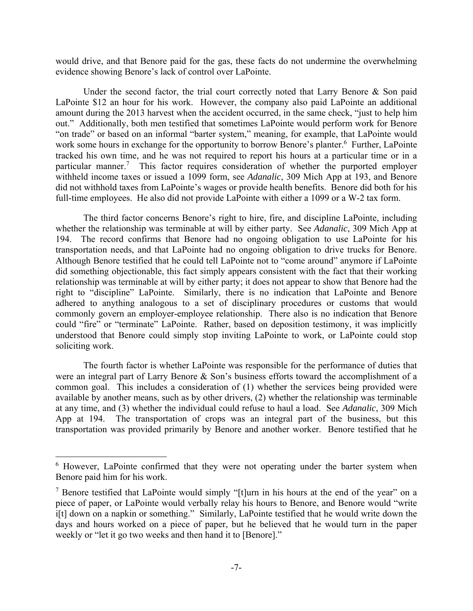would drive, and that Benore paid for the gas, these facts do not undermine the overwhelming evidence showing Benore's lack of control over LaPointe.

Under the second factor, the trial court correctly noted that Larry Benore & Son paid LaPointe \$12 an hour for his work. However, the company also paid LaPointe an additional amount during the 2013 harvest when the accident occurred, in the same check, "just to help him out." Additionally, both men testified that sometimes LaPointe would perform work for Benore "on trade" or based on an informal "barter system," meaning, for example, that LaPointe would work some hours in exchange for the opportunity to borrow Benore's planter.<sup>6</sup> Further, LaPointe tracked his own time, and he was not required to report his hours at a particular time or in a particular manner.<sup>7</sup> This factor requires consideration of whether the purported employer withheld income taxes or issued a 1099 form, see *Adanalic*, 309 Mich App at 193, and Benore did not withhold taxes from LaPointe's wages or provide health benefits. Benore did both for his full-time employees. He also did not provide LaPointe with either a 1099 or a W-2 tax form.

 The third factor concerns Benore's right to hire, fire, and discipline LaPointe, including whether the relationship was terminable at will by either party. See *Adanalic*, 309 Mich App at 194. The record confirms that Benore had no ongoing obligation to use LaPointe for his transportation needs, and that LaPointe had no ongoing obligation to drive trucks for Benore. Although Benore testified that he could tell LaPointe not to "come around" anymore if LaPointe did something objectionable, this fact simply appears consistent with the fact that their working relationship was terminable at will by either party; it does not appear to show that Benore had the right to "discipline" LaPointe. Similarly, there is no indication that LaPointe and Benore adhered to anything analogous to a set of disciplinary procedures or customs that would commonly govern an employer-employee relationship. There also is no indication that Benore could "fire" or "terminate" LaPointe. Rather, based on deposition testimony, it was implicitly understood that Benore could simply stop inviting LaPointe to work, or LaPointe could stop soliciting work.

 The fourth factor is whether LaPointe was responsible for the performance of duties that were an integral part of Larry Benore & Son's business efforts toward the accomplishment of a common goal. This includes a consideration of (1) whether the services being provided were available by another means, such as by other drivers, (2) whether the relationship was terminable at any time, and (3) whether the individual could refuse to haul a load. See *Adanalic*, 309 Mich App at 194. The transportation of crops was an integral part of the business, but this transportation was provided primarily by Benore and another worker. Benore testified that he

<sup>&</sup>lt;sup>6</sup> However, LaPointe confirmed that they were not operating under the barter system when Benore paid him for his work.

<sup>&</sup>lt;sup>7</sup> Benore testified that LaPointe would simply "[t]urn in his hours at the end of the year" on a piece of paper, or LaPointe would verbally relay his hours to Benore, and Benore would "write i[t] down on a napkin or something." Similarly, LaPointe testified that he would write down the days and hours worked on a piece of paper, but he believed that he would turn in the paper weekly or "let it go two weeks and then hand it to [Benore]."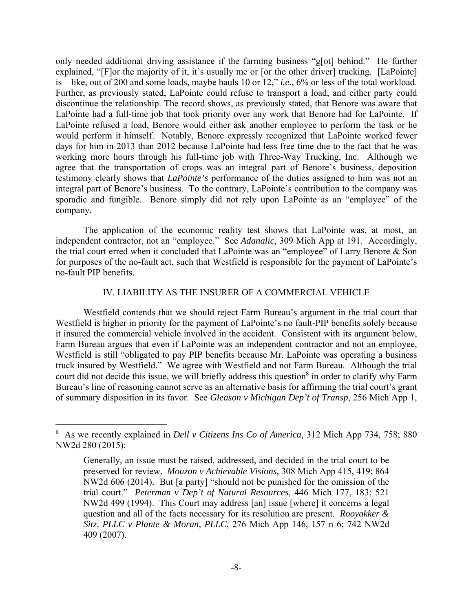only needed additional driving assistance if the farming business "g[ot] behind." He further explained, "[F]or the majority of it, it's usually me or [or the other driver] trucking. [LaPointe] is – like, out of 200 and some loads, maybe hauls 10 or 12," *i.e.*, 6% or less of the total workload. Further, as previously stated, LaPointe could refuse to transport a load, and either party could discontinue the relationship. The record shows, as previously stated, that Benore was aware that LaPointe had a full-time job that took priority over any work that Benore had for LaPointe. If LaPointe refused a load, Benore would either ask another employee to perform the task or he would perform it himself. Notably, Benore expressly recognized that LaPointe worked fewer days for him in 2013 than 2012 because LaPointe had less free time due to the fact that he was working more hours through his full-time job with Three-Way Trucking, Inc. Although we agree that the transportation of crops was an integral part of Benore's business, deposition testimony clearly shows that *LaPointe's* performance of the duties assigned to him was not an integral part of Benore's business. To the contrary, LaPointe's contribution to the company was sporadic and fungible. Benore simply did not rely upon LaPointe as an "employee" of the company.

 The application of the economic reality test shows that LaPointe was, at most, an independent contractor, not an "employee." See *Adanalic*, 309 Mich App at 191. Accordingly, the trial court erred when it concluded that LaPointe was an "employee" of Larry Benore & Son for purposes of the no-fault act, such that Westfield is responsible for the payment of LaPointe's no-fault PIP benefits.

### IV. LIABILITY AS THE INSURER OF A COMMERCIAL VEHICLE

 Westfield contends that we should reject Farm Bureau's argument in the trial court that Westfield is higher in priority for the payment of LaPointe's no fault-PIP benefits solely because it insured the commercial vehicle involved in the accident. Consistent with its argument below, Farm Bureau argues that even if LaPointe was an independent contractor and not an employee, Westfield is still "obligated to pay PIP benefits because Mr. LaPointe was operating a business truck insured by Westfield." We agree with Westfield and not Farm Bureau. Although the trial court did not decide this issue, we will briefly address this question<sup>8</sup> in order to clarify why Farm Bureau's line of reasoning cannot serve as an alternative basis for affirming the trial court's grant of summary disposition in its favor. See *Gleason v Michigan Dep't of Transp*, 256 Mich App 1,

<sup>8</sup> As we recently explained in *Dell v Citizens Ins Co of America*, 312 Mich App 734, 758; 880 NW2d 280 (2015):

Generally, an issue must be raised, addressed, and decided in the trial court to be preserved for review. *Mouzon v Achievable Visions*, 308 Mich App 415, 419; 864 NW2d 606 (2014). But [a party] "should not be punished for the omission of the trial court." *Peterman v Dep't of Natural Resources*, 446 Mich 177, 183; 521 NW2d 499 (1994). This Court may address [an] issue [where] it concerns a legal question and all of the facts necessary for its resolution are present. *Rooyakker & Sitz, PLLC v Plante & Moran, PLLC*, 276 Mich App 146, 157 n 6; 742 NW2d 409 (2007).